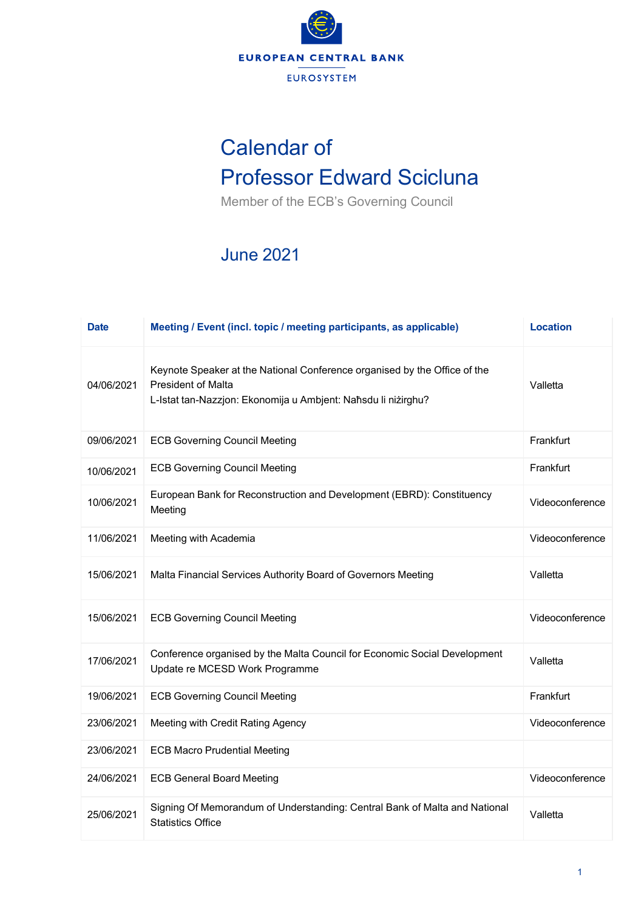

## Calendar of Professor Edward Scicluna

Member of the ECB's Governing Council

## June 2021

| <b>Date</b> | Meeting / Event (incl. topic / meeting participants, as applicable)                                                                                                     | <b>Location</b> |
|-------------|-------------------------------------------------------------------------------------------------------------------------------------------------------------------------|-----------------|
| 04/06/2021  | Keynote Speaker at the National Conference organised by the Office of the<br><b>President of Malta</b><br>L-Istat tan-Nazzjon: Ekonomija u Ambjent: Naħsdu li niżirghu? | Valletta        |
| 09/06/2021  | <b>ECB Governing Council Meeting</b>                                                                                                                                    | Frankfurt       |
| 10/06/2021  | <b>ECB Governing Council Meeting</b>                                                                                                                                    | Frankfurt       |
| 10/06/2021  | European Bank for Reconstruction and Development (EBRD): Constituency<br>Meeting                                                                                        | Videoconference |
| 11/06/2021  | Meeting with Academia                                                                                                                                                   | Videoconference |
| 15/06/2021  | Malta Financial Services Authority Board of Governors Meeting                                                                                                           | Valletta        |
| 15/06/2021  | <b>ECB Governing Council Meeting</b>                                                                                                                                    | Videoconference |
| 17/06/2021  | Conference organised by the Malta Council for Economic Social Development<br>Update re MCESD Work Programme                                                             | Valletta        |
| 19/06/2021  | <b>ECB Governing Council Meeting</b>                                                                                                                                    | Frankfurt       |
| 23/06/2021  | Meeting with Credit Rating Agency                                                                                                                                       | Videoconference |
| 23/06/2021  | <b>ECB Macro Prudential Meeting</b>                                                                                                                                     |                 |
| 24/06/2021  | <b>ECB General Board Meeting</b>                                                                                                                                        | Videoconference |
| 25/06/2021  | Signing Of Memorandum of Understanding: Central Bank of Malta and National<br><b>Statistics Office</b>                                                                  | Valletta        |